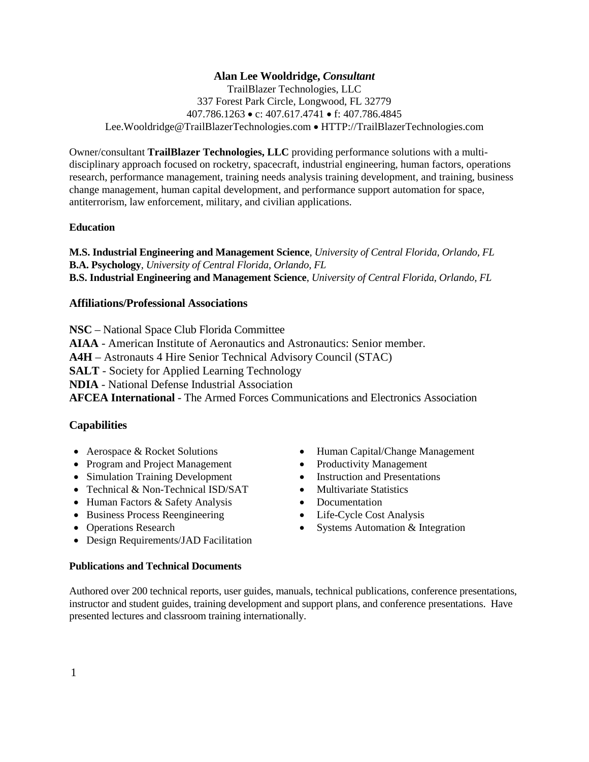# **Alan Lee Wooldridge,** *Consultant*

TrailBlazer Technologies, LLC 337 Forest Park Circle, Longwood, FL 32779 407.786.1263 • c: 407.617.4741 • f: 407.786.4845 Lee.Wooldridge@TrailBlazerTechnologies.com • HTTP://TrailBlazerTechnologies.com

Owner/consultant **TrailBlazer Technologies, LLC** providing performance solutions with a multidisciplinary approach focused on rocketry, spacecraft, industrial engineering, human factors, operations research, performance management, training needs analysis training development, and training, business change management, human capital development, and performance support automation for space, antiterrorism, law enforcement, military, and civilian applications.

### **Education**

**M.S. Industrial Engineering and Management Science**, *University of Central Florida, Orlando, FL* **B.A. Psychology**, *University of Central Florida*, *Orlando, FL* **B.S. Industrial Engineering and Management Science**, *University of Central Florida, Orlando, FL*

### **Affiliations/Professional Associations**

**NSC** – National Space Club Florida Committee

**AIAA** - American Institute of Aeronautics and Astronautics: Senior member.

**A4H** – Astronauts 4 Hire Senior Technical Advisory Council (STAC)

**SALT** - Society for Applied Learning Technology

**NDIA** - National Defense Industrial Association

**AFCEA International** - The Armed Forces Communications and Electronics Association

### **Capabilities**

- Aerospace & Rocket Solutions
- Program and Project Management
- Simulation Training Development Instruction and Presentations<br>• Technical & Non-Technical ISD/SAT Multivariate Statistics
- Technical & Non-Technical ISD/SAT
- Human Factors & Safety Analysis Documentation
- Business Process Reengineering Life-Cycle Cost Analysis
- Operations Research
- Design Requirements/JAD Facilitation

### **Publications and Technical Documents**

Authored over 200 technical reports, user guides, manuals, technical publications, conference presentations, instructor and student guides, training development and support plans, and conference presentations. Have presented lectures and classroom training internationally.

- Human Capital/Change Management
- Productivity Management
- 
- 
- 
- 
- Systems Automation & Integration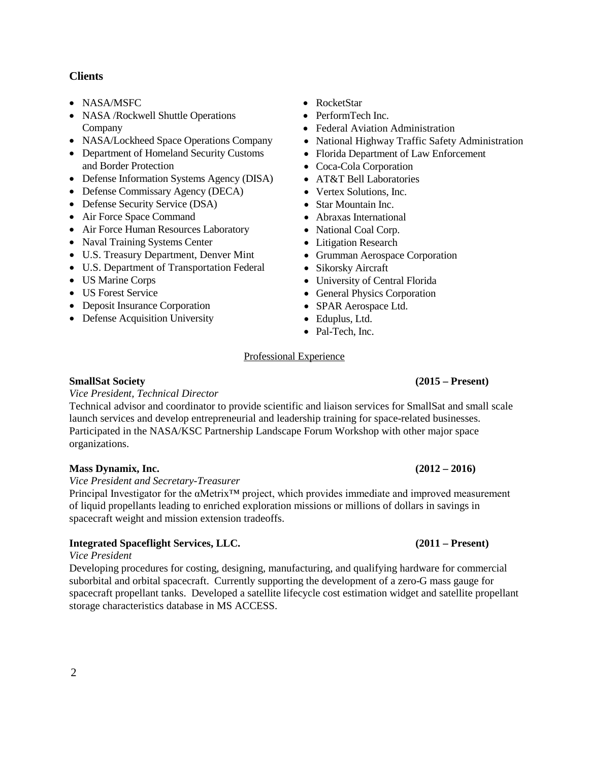### **Clients**

- NASA/MSFC
- NASA / Rockwell Shuttle Operations Company
- NASA/Lockheed Space Operations Company
- Department of Homeland Security Customs and Border Protection
- Defense Information Systems Agency (DISA)
- Defense Commissary Agency (DECA)
- Defense Security Service (DSA)
- Air Force Space Command
- Air Force Human Resources Laboratory
- Naval Training Systems Center
- U.S. Treasury Department, Denver Mint
- U.S. Department of Transportation Federal
- US Marine Corps
- US Forest Service
- Deposit Insurance Corporation
- Defense Acquisition University
- RocketStar
- PerformTech Inc.
- Federal Aviation Administration
- National Highway Traffic Safety Administration
- Florida Department of Law Enforcement
- Coca-Cola Corporation
- AT&T Bell Laboratories
- Vertex Solutions, Inc.
- Star Mountain Inc.
- Abraxas International
- National Coal Corp.
- Litigation Research
- Grumman Aerospace Corporation
- Sikorsky Aircraft
- University of Central Florida
- General Physics Corporation
- SPAR Aerospace Ltd.
- Eduplus, Ltd.
- Pal-Tech, Inc.

### Professional Experience

### **SmallSat Society (2015 – Present)**

### *Vice President, Technical Director*

Technical advisor and coordinator to provide scientific and liaison services for SmallSat and small scale launch services and develop entrepreneurial and leadership training for space-related businesses. Participated in the NASA/KSC Partnership Landscape Forum Workshop with other major space organizations.

### **Mass Dynamix, Inc. (2012 – 2016)**

*Vice President and Secretary-Treasurer*

Principal Investigator for the αMetrix™ project, which provides immediate and improved measurement of liquid propellants leading to enriched exploration missions or millions of dollars in savings in spacecraft weight and mission extension tradeoffs.

### **Integrated Spaceflight Services, LLC. (2011 – Present)**

### *Vice President*

Developing procedures for costing, designing, manufacturing, and qualifying hardware for commercial suborbital and orbital spacecraft. Currently supporting the development of a zero-G mass gauge for spacecraft propellant tanks. Developed a satellite lifecycle cost estimation widget and satellite propellant storage characteristics database in MS ACCESS.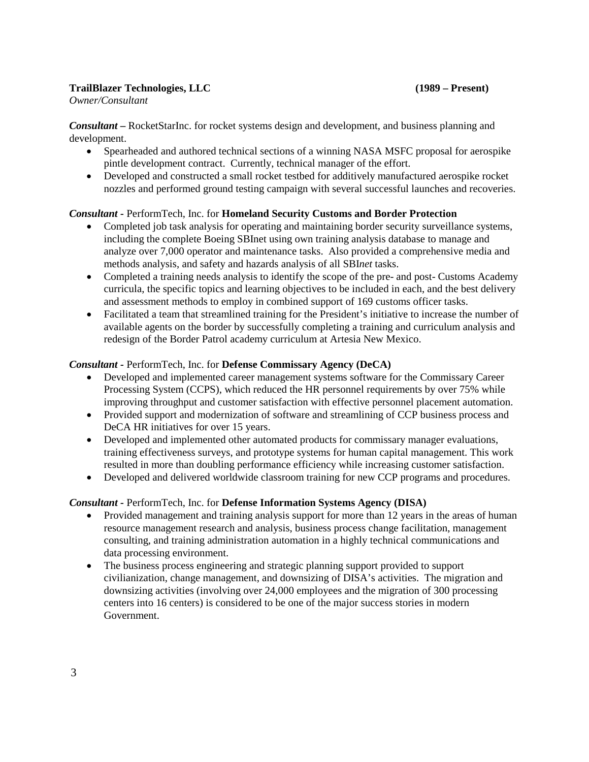## **TrailBlazer Technologies, LLC (1989 – Present)**

*Owner/Consultant*

*Consultant –* RocketStarInc. for rocket systems design and development, and business planning and development.

- Spearheaded and authored technical sections of a winning NASA MSFC proposal for aerospike pintle development contract. Currently, technical manager of the effort.
- Developed and constructed a small rocket testbed for additively manufactured aerospike rocket nozzles and performed ground testing campaign with several successful launches and recoveries.

## *Consultant -* PerformTech, Inc. for **Homeland Security Customs and Border Protection**

- Completed job task analysis for operating and maintaining border security surveillance systems, including the complete Boeing SBInet using own training analysis database to manage and analyze over 7,000 operator and maintenance tasks. Also provided a comprehensive media and methods analysis, and safety and hazards analysis of all SBI*net* tasks.
- Completed a training needs analysis to identify the scope of the pre- and post- Customs Academy curricula, the specific topics and learning objectives to be included in each, and the best delivery and assessment methods to employ in combined support of 169 customs officer tasks.
- Facilitated a team that streamlined training for the President's initiative to increase the number of available agents on the border by successfully completing a training and curriculum analysis and redesign of the Border Patrol academy curriculum at Artesia New Mexico.

### *Consultant -* PerformTech, Inc. for **Defense Commissary Agency (DeCA)**

- Developed and implemented career management systems software for the Commissary Career Processing System (CCPS), which reduced the HR personnel requirements by over 75% while improving throughput and customer satisfaction with effective personnel placement automation.
- Provided support and modernization of software and streamlining of CCP business process and DeCA HR initiatives for over 15 years.
- Developed and implemented other automated products for commissary manager evaluations, training effectiveness surveys, and prototype systems for human capital management. This work resulted in more than doubling performance efficiency while increasing customer satisfaction.
- Developed and delivered worldwide classroom training for new CCP programs and procedures.

## *Consultant -* PerformTech, Inc. for **Defense Information Systems Agency (DISA)**

- Provided management and training analysis support for more than 12 years in the areas of human resource management research and analysis, business process change facilitation, management consulting, and training administration automation in a highly technical communications and data processing environment.
- The business process engineering and strategic planning support provided to support civilianization, change management, and downsizing of DISA's activities. The migration and downsizing activities (involving over 24,000 employees and the migration of 300 processing centers into 16 centers) is considered to be one of the major success stories in modern Government.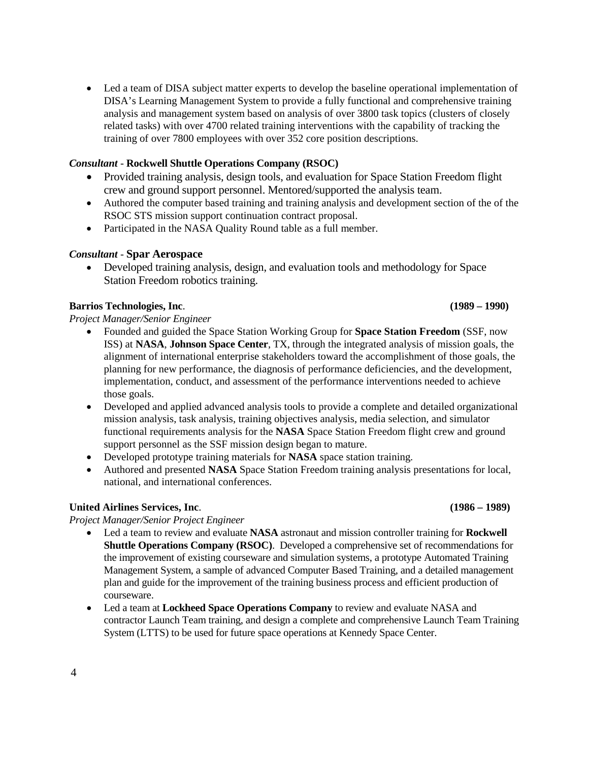• Led a team of DISA subject matter experts to develop the baseline operational implementation of DISA's Learning Management System to provide a fully functional and comprehensive training analysis and management system based on analysis of over 3800 task topics (clusters of closely related tasks) with over 4700 related training interventions with the capability of tracking the training of over 7800 employees with over 352 core position descriptions.

# *Consultant* - **Rockwell Shuttle Operations Company (RSOC)**

- Provided training analysis, design tools, and evaluation for Space Station Freedom flight crew and ground support personnel. Mentored/supported the analysis team.
- Authored the computer based training and training analysis and development section of the of the RSOC STS mission support continuation contract proposal.
- Participated in the NASA Quality Round table as a full member.

# *Consultant* - **Spar Aerospace**

• Developed training analysis, design, and evaluation tools and methodology for Space Station Freedom robotics training.

# **Barrios Technologies, Inc**. **(1989 – 1990)**

*Project Manager/Senior Engineer* 

- Founded and guided the Space Station Working Group for **Space Station Freedom** (SSF, now ISS) at **NASA**, **Johnson Space Center**, TX, through the integrated analysis of mission goals, the alignment of international enterprise stakeholders toward the accomplishment of those goals, the planning for new performance, the diagnosis of performance deficiencies, and the development, implementation, conduct, and assessment of the performance interventions needed to achieve those goals.
- Developed and applied advanced analysis tools to provide a complete and detailed organizational mission analysis, task analysis, training objectives analysis, media selection, and simulator functional requirements analysis for the **NASA** Space Station Freedom flight crew and ground support personnel as the SSF mission design began to mature.
- Developed prototype training materials for **NASA** space station training.
- Authored and presented **NASA** Space Station Freedom training analysis presentations for local, national, and international conferences.

# **United Airlines Services, Inc**. **(1986 – 1989)**

*Project Manager/Senior Project Engineer*

- Led a team to review and evaluate **NASA** astronaut and mission controller training for **Rockwell Shuttle Operations Company (RSOC)**. Developed a comprehensive set of recommendations for the improvement of existing courseware and simulation systems, a prototype Automated Training Management System, a sample of advanced Computer Based Training, and a detailed management plan and guide for the improvement of the training business process and efficient production of courseware.
- Led a team at **Lockheed Space Operations Company** to review and evaluate NASA and contractor Launch Team training, and design a complete and comprehensive Launch Team Training System (LTTS) to be used for future space operations at Kennedy Space Center.